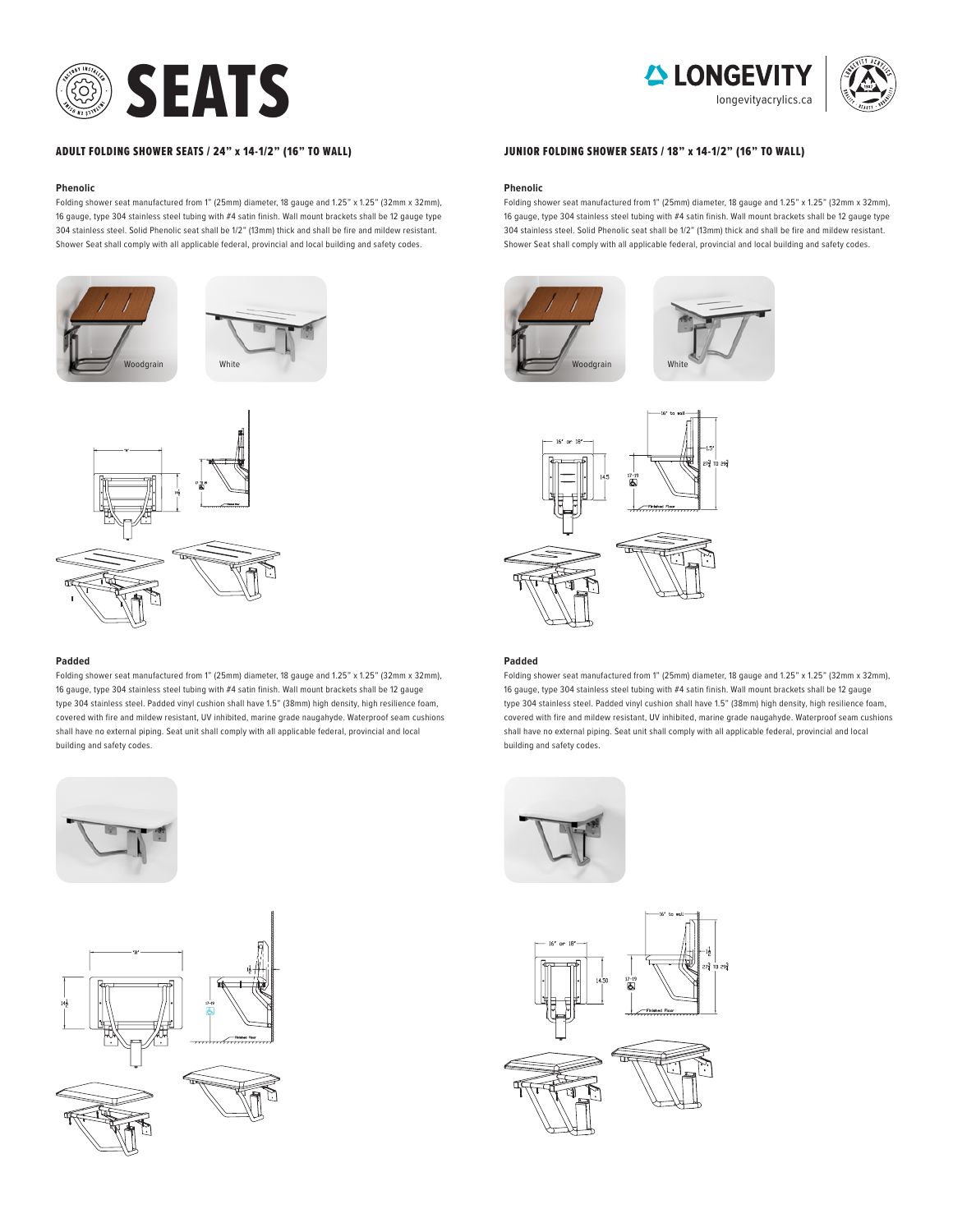





# ADULT FOLDING SHOWER SEATS / 24" x 14-1/2" (16" TO WALL) JUNIOR FOLDING SHOWER SEATS / 18" x 14-1/2" (16" TO WALL)

#### **Phenolic**

Folding shower seat manufactured from 1" (25mm) diameter, 18 gauge and 1.25" x 1.25" (32mm x 32mm), 16 gauge, type 304 stainless steel tubing with #4 satin finish. Wall mount brackets shall be 12 gauge type 304 stainless steel. Solid Phenolic seat shall be 1/2" (13mm) thick and shall be fire and mildew resistant. Shower Seat shall comply with all applicable federal, provincial and local building and safety codes.







#### **Padded**

Folding shower seat manufactured from 1" (25mm) diameter, 18 gauge and 1.25" x 1.25" (32mm x 32mm), 16 gauge, type 304 stainless steel tubing with #4 satin finish. Wall mount brackets shall be 12 gauge type 304 stainless steel. Padded vinyl cushion shall have 1.5" (38mm) high density, high resilience foam, covered with fire and mildew resistant, UV inhibited, marine grade naugahyde. Waterproof seam cushions shall have no external piping. Seat unit shall comply with all applicable federal, provincial and local building and safety codes.





#### **Phenolic**

Folding shower seat manufactured from 1" (25mm) diameter, 18 gauge and 1.25" x 1.25" (32mm x 32mm), 16 gauge, type 304 stainless steel tubing with #4 satin finish. Wall mount brackets shall be 12 gauge type 304 stainless steel. Solid Phenolic seat shall be 1/2" (13mm) thick and shall be fire and mildew resistant. Shower Seat shall comply with all applicable federal, provincial and local building and safety codes.





## **Padded**

Folding shower seat manufactured from 1" (25mm) diameter, 18 gauge and 1.25" x 1.25" (32mm x 32mm), 16 gauge, type 304 stainless steel tubing with #4 satin finish. Wall mount brackets shall be 12 gauge type 304 stainless steel. Padded vinyl cushion shall have 1.5" (38mm) high density, high resilience foam, covered with fire and mildew resistant, UV inhibited, marine grade naugahyde. Waterproof seam cushions shall have no external piping. Seat unit shall comply with all applicable federal, provincial and local building and safety codes.